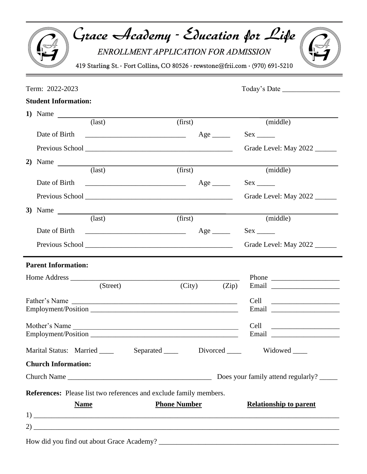| Grace Academy - Education for Life<br>419 Starling St. · Fort Collins, CO 80526 · rewstone@frii.com · (970) 691-5210                                                                                                                | ENROLLMENT APPLICATION FOR ADMISSION |                               |
|-------------------------------------------------------------------------------------------------------------------------------------------------------------------------------------------------------------------------------------|--------------------------------------|-------------------------------|
| Term: 2022-2023                                                                                                                                                                                                                     |                                      | Today's Date                  |
| <b>Student Information:</b>                                                                                                                                                                                                         |                                      |                               |
| 1) Name $\frac{1}{\text{last}}$                                                                                                                                                                                                     |                                      |                               |
|                                                                                                                                                                                                                                     | (first)                              | (middle)                      |
|                                                                                                                                                                                                                                     |                                      |                               |
| Previous School <u>and the second second</u> contract the second second second second second second second second second second second second second second second second second second second second second second second second s |                                      | Grade Level: May 2022         |
|                                                                                                                                                                                                                                     |                                      |                               |
| (last)                                                                                                                                                                                                                              | (first)                              | (middle)                      |
|                                                                                                                                                                                                                                     |                                      | $Sex \_$                      |
|                                                                                                                                                                                                                                     |                                      | Grade Level: May 2022         |
| 3) Name $\frac{ }{ }$                                                                                                                                                                                                               |                                      |                               |
| $\text{(last)}$                                                                                                                                                                                                                     | (first)                              | (middle)                      |
| Date of Birth<br>$\overline{\qquad \qquad }$ Age $\overline{\qquad \qquad }$ Sex $\overline{\qquad \qquad }$                                                                                                                        |                                      |                               |
|                                                                                                                                                                                                                                     |                                      | Grade Level: May 2022         |
| <b>Parent Information:</b>                                                                                                                                                                                                          |                                      |                               |
| Home Address                                                                                                                                                                                                                        |                                      |                               |
| (Street)                                                                                                                                                                                                                            | (City)                               | (Zip)<br>Email                |
|                                                                                                                                                                                                                                     |                                      |                               |
|                                                                                                                                                                                                                                     |                                      |                               |
| Mother's Name                                                                                                                                                                                                                       |                                      | Cell ________________________ |
|                                                                                                                                                                                                                                     |                                      |                               |
| Marital Status: Married ____                                                                                                                                                                                                        |                                      | Separated Divorced Widowed    |
| <b>Church Information:</b>                                                                                                                                                                                                          |                                      |                               |
|                                                                                                                                                                                                                                     |                                      |                               |
| <b>References:</b> Please list two references and exclude family members.<br><b>Name</b>                                                                                                                                            | <b>Phone Number</b>                  | <b>Relationship to parent</b> |
|                                                                                                                                                                                                                                     |                                      |                               |

| How did you find out about Grace Academy? |  |
|-------------------------------------------|--|
|                                           |  |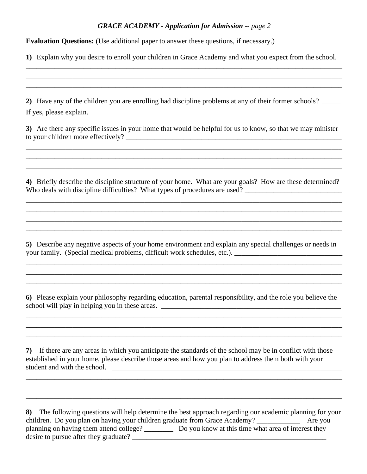## *GRACE ACADEMY - Application for Admission -- page 2*

**Evaluation Questions:** (Use additional paper to answer these questions, if necessary.)

**1)** Explain why you desire to enroll your children in Grace Academy and what you expect from the school. \_\_\_\_\_\_\_\_\_\_\_\_\_\_\_\_\_\_\_\_\_\_\_\_\_\_\_\_\_\_\_\_\_\_\_\_\_\_\_\_\_\_\_\_\_\_\_\_\_\_\_\_\_\_\_\_\_\_\_\_\_\_\_\_\_\_\_\_\_\_\_\_\_\_\_\_\_\_\_\_\_\_\_\_\_\_\_\_

\_\_\_\_\_\_\_\_\_\_\_\_\_\_\_\_\_\_\_\_\_\_\_\_\_\_\_\_\_\_\_\_\_\_\_\_\_\_\_\_\_\_\_\_\_\_\_\_\_\_\_\_\_\_\_\_\_\_\_\_\_\_\_\_\_\_\_\_\_\_\_\_\_\_\_\_\_\_\_\_\_\_\_\_\_\_\_\_ \_\_\_\_\_\_\_\_\_\_\_\_\_\_\_\_\_\_\_\_\_\_\_\_\_\_\_\_\_\_\_\_\_\_\_\_\_\_\_\_\_\_\_\_\_\_\_\_\_\_\_\_\_\_\_\_\_\_\_\_\_\_\_\_\_\_\_\_\_\_\_\_\_\_\_\_\_\_\_\_\_\_\_\_\_\_\_\_

**2)** Have any of the children you are enrolling had discipline problems at any of their former schools? \_\_\_\_\_ If yes, please explain.

**3)** Are there any specific issues in your home that would be helpful for us to know, so that we may minister to your children more effectively?

\_\_\_\_\_\_\_\_\_\_\_\_\_\_\_\_\_\_\_\_\_\_\_\_\_\_\_\_\_\_\_\_\_\_\_\_\_\_\_\_\_\_\_\_\_\_\_\_\_\_\_\_\_\_\_\_\_\_\_\_\_\_\_\_\_\_\_\_\_\_\_\_\_\_\_\_\_\_\_\_\_\_\_\_\_\_\_\_ \_\_\_\_\_\_\_\_\_\_\_\_\_\_\_\_\_\_\_\_\_\_\_\_\_\_\_\_\_\_\_\_\_\_\_\_\_\_\_\_\_\_\_\_\_\_\_\_\_\_\_\_\_\_\_\_\_\_\_\_\_\_\_\_\_\_\_\_\_\_\_\_\_\_\_\_\_\_\_\_\_\_\_\_\_\_\_\_ \_\_\_\_\_\_\_\_\_\_\_\_\_\_\_\_\_\_\_\_\_\_\_\_\_\_\_\_\_\_\_\_\_\_\_\_\_\_\_\_\_\_\_\_\_\_\_\_\_\_\_\_\_\_\_\_\_\_\_\_\_\_\_\_\_\_\_\_\_\_\_\_\_\_\_\_\_\_\_\_\_\_\_\_\_\_\_\_

**4)** Briefly describe the discipline structure of your home. What are your goals? How are these determined? Who deals with discipline difficulties? What types of procedures are used? \_\_\_\_\_\_\_\_\_\_\_\_\_\_\_\_\_\_\_\_\_\_\_\_\_\_\_

\_\_\_\_\_\_\_\_\_\_\_\_\_\_\_\_\_\_\_\_\_\_\_\_\_\_\_\_\_\_\_\_\_\_\_\_\_\_\_\_\_\_\_\_\_\_\_\_\_\_\_\_\_\_\_\_\_\_\_\_\_\_\_\_\_\_\_\_\_\_\_\_\_\_\_\_\_\_\_\_\_\_\_\_\_\_\_\_ \_\_\_\_\_\_\_\_\_\_\_\_\_\_\_\_\_\_\_\_\_\_\_\_\_\_\_\_\_\_\_\_\_\_\_\_\_\_\_\_\_\_\_\_\_\_\_\_\_\_\_\_\_\_\_\_\_\_\_\_\_\_\_\_\_\_\_\_\_\_\_\_\_\_\_\_\_\_\_\_\_\_\_\_\_\_\_\_ \_\_\_\_\_\_\_\_\_\_\_\_\_\_\_\_\_\_\_\_\_\_\_\_\_\_\_\_\_\_\_\_\_\_\_\_\_\_\_\_\_\_\_\_\_\_\_\_\_\_\_\_\_\_\_\_\_\_\_\_\_\_\_\_\_\_\_\_\_\_\_\_\_\_\_\_\_\_\_\_\_\_\_\_\_\_\_\_ \_\_\_\_\_\_\_\_\_\_\_\_\_\_\_\_\_\_\_\_\_\_\_\_\_\_\_\_\_\_\_\_\_\_\_\_\_\_\_\_\_\_\_\_\_\_\_\_\_\_\_\_\_\_\_\_\_\_\_\_\_\_\_\_\_\_\_\_\_\_\_\_\_\_\_\_\_\_\_\_\_\_\_\_\_\_\_\_

**5)** Describe any negative aspects of your home environment and explain any special challenges or needs in your family. (Special medical problems, difficult work schedules, etc.). \_\_\_\_\_\_\_\_\_\_\_\_\_\_\_\_\_\_\_\_\_\_\_\_\_\_\_\_\_\_

\_\_\_\_\_\_\_\_\_\_\_\_\_\_\_\_\_\_\_\_\_\_\_\_\_\_\_\_\_\_\_\_\_\_\_\_\_\_\_\_\_\_\_\_\_\_\_\_\_\_\_\_\_\_\_\_\_\_\_\_\_\_\_\_\_\_\_\_\_\_\_\_\_\_\_\_\_\_\_\_\_\_\_\_\_\_\_\_ \_\_\_\_\_\_\_\_\_\_\_\_\_\_\_\_\_\_\_\_\_\_\_\_\_\_\_\_\_\_\_\_\_\_\_\_\_\_\_\_\_\_\_\_\_\_\_\_\_\_\_\_\_\_\_\_\_\_\_\_\_\_\_\_\_\_\_\_\_\_\_\_\_\_\_\_\_\_\_\_\_\_\_\_\_\_\_\_ \_\_\_\_\_\_\_\_\_\_\_\_\_\_\_\_\_\_\_\_\_\_\_\_\_\_\_\_\_\_\_\_\_\_\_\_\_\_\_\_\_\_\_\_\_\_\_\_\_\_\_\_\_\_\_\_\_\_\_\_\_\_\_\_\_\_\_\_\_\_\_\_\_\_\_\_\_\_\_\_\_\_\_\_\_\_\_\_

**6)** Please explain your philosophy regarding education, parental responsibility, and the role you believe the school will play in helping you in these areas. \_\_\_\_\_\_\_\_\_\_\_\_\_\_\_\_\_\_\_\_\_\_\_\_\_\_\_\_\_\_\_\_\_\_\_\_\_\_\_\_\_\_\_\_\_\_\_\_\_\_

\_\_\_\_\_\_\_\_\_\_\_\_\_\_\_\_\_\_\_\_\_\_\_\_\_\_\_\_\_\_\_\_\_\_\_\_\_\_\_\_\_\_\_\_\_\_\_\_\_\_\_\_\_\_\_\_\_\_\_\_\_\_\_\_\_\_\_\_\_\_\_\_\_\_\_\_\_\_\_\_\_\_\_\_\_\_\_\_ \_\_\_\_\_\_\_\_\_\_\_\_\_\_\_\_\_\_\_\_\_\_\_\_\_\_\_\_\_\_\_\_\_\_\_\_\_\_\_\_\_\_\_\_\_\_\_\_\_\_\_\_\_\_\_\_\_\_\_\_\_\_\_\_\_\_\_\_\_\_\_\_\_\_\_\_\_\_\_\_\_\_\_\_\_\_\_\_ \_\_\_\_\_\_\_\_\_\_\_\_\_\_\_\_\_\_\_\_\_\_\_\_\_\_\_\_\_\_\_\_\_\_\_\_\_\_\_\_\_\_\_\_\_\_\_\_\_\_\_\_\_\_\_\_\_\_\_\_\_\_\_\_\_\_\_\_\_\_\_\_\_\_\_\_\_\_\_\_\_\_\_\_\_\_\_\_

**7)** If there are any areas in which you anticipate the standards of the school may be in conflict with those established in your home, please describe those areas and how you plan to address them both with your student and with the school. \_\_\_\_\_\_\_\_\_\_\_\_\_\_\_\_\_\_\_\_\_\_\_\_\_\_\_\_\_\_\_\_\_\_\_\_\_\_\_\_\_\_\_\_\_\_\_\_\_\_\_\_\_\_\_\_\_\_\_\_\_\_\_\_

\_\_\_\_\_\_\_\_\_\_\_\_\_\_\_\_\_\_\_\_\_\_\_\_\_\_\_\_\_\_\_\_\_\_\_\_\_\_\_\_\_\_\_\_\_\_\_\_\_\_\_\_\_\_\_\_\_\_\_\_\_\_\_\_\_\_\_\_\_\_\_\_\_\_\_\_\_\_\_\_\_\_\_\_\_\_\_\_ \_\_\_\_\_\_\_\_\_\_\_\_\_\_\_\_\_\_\_\_\_\_\_\_\_\_\_\_\_\_\_\_\_\_\_\_\_\_\_\_\_\_\_\_\_\_\_\_\_\_\_\_\_\_\_\_\_\_\_\_\_\_\_\_\_\_\_\_\_\_\_\_\_\_\_\_\_\_\_\_\_\_\_\_\_\_\_\_ \_\_\_\_\_\_\_\_\_\_\_\_\_\_\_\_\_\_\_\_\_\_\_\_\_\_\_\_\_\_\_\_\_\_\_\_\_\_\_\_\_\_\_\_\_\_\_\_\_\_\_\_\_\_\_\_\_\_\_\_\_\_\_\_\_\_\_\_\_\_\_\_\_\_\_\_\_\_\_\_\_\_\_\_\_\_\_\_

**8)** The following questions will help determine the best approach regarding our academic planning for your children. Do you plan on having your children graduate from Grace Academy? \_\_\_\_\_\_\_\_\_\_\_\_ Are you planning on having them attend college? Do you know at this time what area of interest they desire to pursue after they graduate?